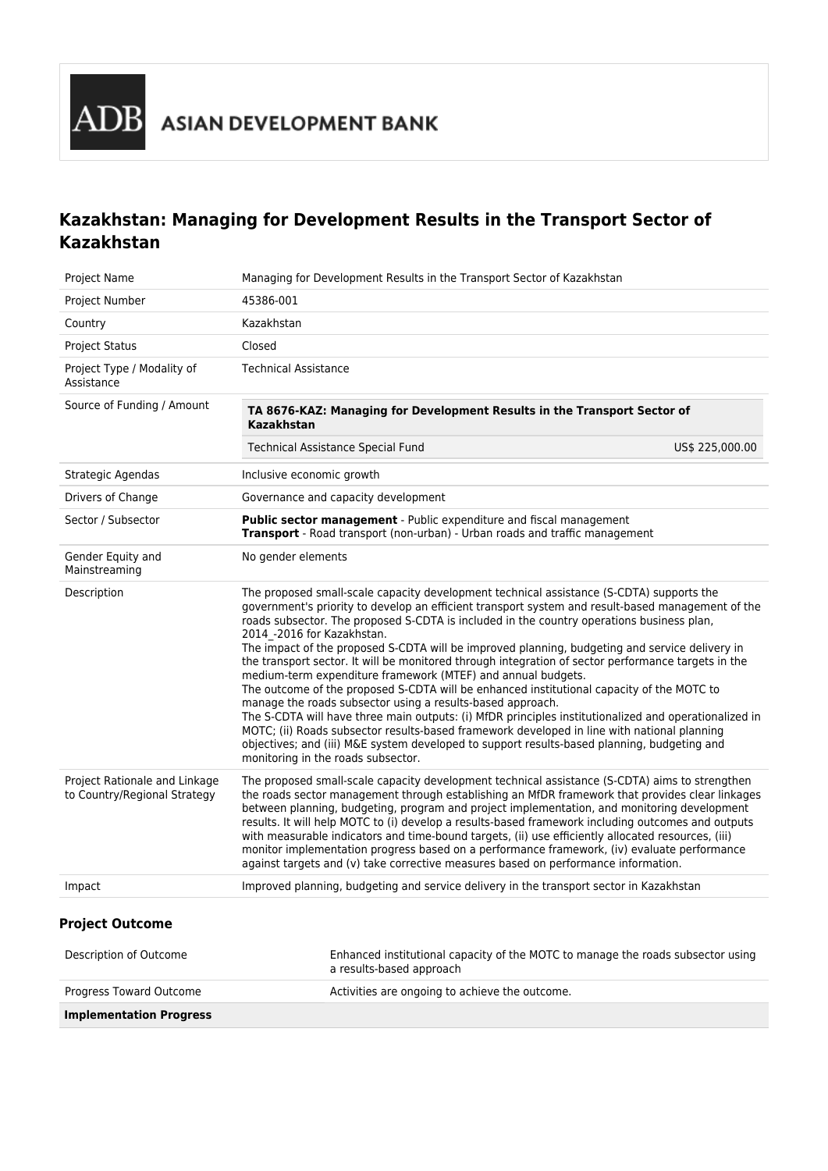# **Kazakhstan: Managing for Development Results in the Transport Sector of Kazakhstan**

| Project Name                                                  | Managing for Development Results in the Transport Sector of Kazakhstan                                                                                                                                                                                                                                                                                                                                                                                                                                                                                                                                                                                                                                                                                                                                                                                                                                                                                                                                                                                                                                    |                 |  |  |
|---------------------------------------------------------------|-----------------------------------------------------------------------------------------------------------------------------------------------------------------------------------------------------------------------------------------------------------------------------------------------------------------------------------------------------------------------------------------------------------------------------------------------------------------------------------------------------------------------------------------------------------------------------------------------------------------------------------------------------------------------------------------------------------------------------------------------------------------------------------------------------------------------------------------------------------------------------------------------------------------------------------------------------------------------------------------------------------------------------------------------------------------------------------------------------------|-----------------|--|--|
| Project Number                                                | 45386-001                                                                                                                                                                                                                                                                                                                                                                                                                                                                                                                                                                                                                                                                                                                                                                                                                                                                                                                                                                                                                                                                                                 |                 |  |  |
| Country                                                       | Kazakhstan                                                                                                                                                                                                                                                                                                                                                                                                                                                                                                                                                                                                                                                                                                                                                                                                                                                                                                                                                                                                                                                                                                |                 |  |  |
| <b>Project Status</b>                                         | Closed                                                                                                                                                                                                                                                                                                                                                                                                                                                                                                                                                                                                                                                                                                                                                                                                                                                                                                                                                                                                                                                                                                    |                 |  |  |
| Project Type / Modality of<br>Assistance                      | <b>Technical Assistance</b>                                                                                                                                                                                                                                                                                                                                                                                                                                                                                                                                                                                                                                                                                                                                                                                                                                                                                                                                                                                                                                                                               |                 |  |  |
| Source of Funding / Amount                                    | TA 8676-KAZ: Managing for Development Results in the Transport Sector of<br>Kazakhstan                                                                                                                                                                                                                                                                                                                                                                                                                                                                                                                                                                                                                                                                                                                                                                                                                                                                                                                                                                                                                    |                 |  |  |
|                                                               | <b>Technical Assistance Special Fund</b>                                                                                                                                                                                                                                                                                                                                                                                                                                                                                                                                                                                                                                                                                                                                                                                                                                                                                                                                                                                                                                                                  | US\$ 225,000.00 |  |  |
| Strategic Agendas                                             | Inclusive economic growth                                                                                                                                                                                                                                                                                                                                                                                                                                                                                                                                                                                                                                                                                                                                                                                                                                                                                                                                                                                                                                                                                 |                 |  |  |
| Drivers of Change                                             | Governance and capacity development                                                                                                                                                                                                                                                                                                                                                                                                                                                                                                                                                                                                                                                                                                                                                                                                                                                                                                                                                                                                                                                                       |                 |  |  |
| Sector / Subsector                                            | Public sector management - Public expenditure and fiscal management<br>Transport - Road transport (non-urban) - Urban roads and traffic management                                                                                                                                                                                                                                                                                                                                                                                                                                                                                                                                                                                                                                                                                                                                                                                                                                                                                                                                                        |                 |  |  |
| Gender Equity and<br>Mainstreaming                            | No gender elements                                                                                                                                                                                                                                                                                                                                                                                                                                                                                                                                                                                                                                                                                                                                                                                                                                                                                                                                                                                                                                                                                        |                 |  |  |
| Description                                                   | The proposed small-scale capacity development technical assistance (S-CDTA) supports the<br>government's priority to develop an efficient transport system and result-based management of the<br>roads subsector. The proposed S-CDTA is included in the country operations business plan,<br>2014 -2016 for Kazakhstan.<br>The impact of the proposed S-CDTA will be improved planning, budgeting and service delivery in<br>the transport sector. It will be monitored through integration of sector performance targets in the<br>medium-term expenditure framework (MTEF) and annual budgets.<br>The outcome of the proposed S-CDTA will be enhanced institutional capacity of the MOTC to<br>manage the roads subsector using a results-based approach.<br>The S-CDTA will have three main outputs: (i) MfDR principles institutionalized and operationalized in<br>MOTC; (ii) Roads subsector results-based framework developed in line with national planning<br>objectives; and (iii) M&E system developed to support results-based planning, budgeting and<br>monitoring in the roads subsector. |                 |  |  |
| Project Rationale and Linkage<br>to Country/Regional Strategy | The proposed small-scale capacity development technical assistance (S-CDTA) aims to strengthen<br>the roads sector management through establishing an MfDR framework that provides clear linkages<br>between planning, budgeting, program and project implementation, and monitoring development<br>results. It will help MOTC to (i) develop a results-based framework including outcomes and outputs<br>with measurable indicators and time-bound targets, (ii) use efficiently allocated resources, (iii)<br>monitor implementation progress based on a performance framework, (iv) evaluate performance<br>against targets and (v) take corrective measures based on performance information.                                                                                                                                                                                                                                                                                                                                                                                                         |                 |  |  |
| Impact                                                        | Improved planning, budgeting and service delivery in the transport sector in Kazakhstan                                                                                                                                                                                                                                                                                                                                                                                                                                                                                                                                                                                                                                                                                                                                                                                                                                                                                                                                                                                                                   |                 |  |  |
| <b>Project Outcome</b>                                        |                                                                                                                                                                                                                                                                                                                                                                                                                                                                                                                                                                                                                                                                                                                                                                                                                                                                                                                                                                                                                                                                                                           |                 |  |  |
| Description of Outcome                                        | Enhanced institutional capacity of the MOTC to manage the roads subsector using<br>a results-based approach                                                                                                                                                                                                                                                                                                                                                                                                                                                                                                                                                                                                                                                                                                                                                                                                                                                                                                                                                                                               |                 |  |  |
| Progress Toward Outcome                                       | Activities are ongoing to achieve the outcome.                                                                                                                                                                                                                                                                                                                                                                                                                                                                                                                                                                                                                                                                                                                                                                                                                                                                                                                                                                                                                                                            |                 |  |  |
| <b>Implementation Progress</b>                                |                                                                                                                                                                                                                                                                                                                                                                                                                                                                                                                                                                                                                                                                                                                                                                                                                                                                                                                                                                                                                                                                                                           |                 |  |  |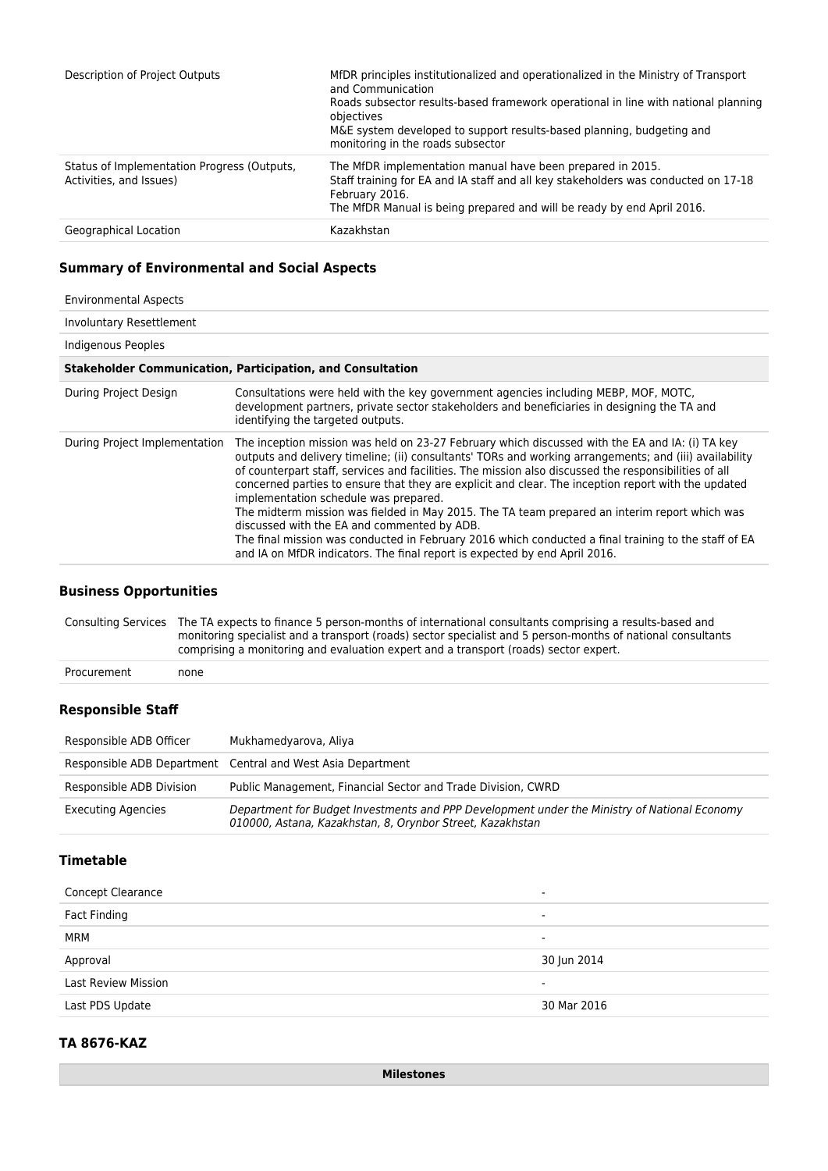| Description of Project Outputs                                         | MfDR principles institutionalized and operationalized in the Ministry of Transport<br>and Communication<br>Roads subsector results-based framework operational in line with national planning<br>objectives<br>M&E system developed to support results-based planning, budgeting and<br>monitoring in the roads subsector |
|------------------------------------------------------------------------|---------------------------------------------------------------------------------------------------------------------------------------------------------------------------------------------------------------------------------------------------------------------------------------------------------------------------|
| Status of Implementation Progress (Outputs,<br>Activities, and Issues) | The MfDR implementation manual have been prepared in 2015.<br>Staff training for EA and IA staff and all key stakeholders was conducted on 17-18<br>February 2016.<br>The MfDR Manual is being prepared and will be ready by end April 2016.                                                                              |
| Geographical Location                                                  | Kazakhstan                                                                                                                                                                                                                                                                                                                |

## **Summary of Environmental and Social Aspects**

| <b>Environmental Aspects</b>                                      |                                                                                                                                                                                                                                                                                                                                                                                                                                                                                                                                                                                                                                                                                                                                                                                                          |  |  |  |
|-------------------------------------------------------------------|----------------------------------------------------------------------------------------------------------------------------------------------------------------------------------------------------------------------------------------------------------------------------------------------------------------------------------------------------------------------------------------------------------------------------------------------------------------------------------------------------------------------------------------------------------------------------------------------------------------------------------------------------------------------------------------------------------------------------------------------------------------------------------------------------------|--|--|--|
| Involuntary Resettlement                                          |                                                                                                                                                                                                                                                                                                                                                                                                                                                                                                                                                                                                                                                                                                                                                                                                          |  |  |  |
| Indigenous Peoples                                                |                                                                                                                                                                                                                                                                                                                                                                                                                                                                                                                                                                                                                                                                                                                                                                                                          |  |  |  |
| <b>Stakeholder Communication, Participation, and Consultation</b> |                                                                                                                                                                                                                                                                                                                                                                                                                                                                                                                                                                                                                                                                                                                                                                                                          |  |  |  |
| During Project Design                                             | Consultations were held with the key government agencies including MEBP, MOF, MOTC,<br>development partners, private sector stakeholders and beneficiaries in designing the TA and<br>identifying the targeted outputs.                                                                                                                                                                                                                                                                                                                                                                                                                                                                                                                                                                                  |  |  |  |
| During Project Implementation                                     | The inception mission was held on 23-27 February which discussed with the EA and IA: (i) TA key<br>outputs and delivery timeline; (ii) consultants' TORs and working arrangements; and (iii) availability<br>of counterpart staff, services and facilities. The mission also discussed the responsibilities of all<br>concerned parties to ensure that they are explicit and clear. The inception report with the updated<br>implementation schedule was prepared.<br>The midterm mission was fielded in May 2015. The TA team prepared an interim report which was<br>discussed with the EA and commented by ADB.<br>The final mission was conducted in February 2016 which conducted a final training to the staff of EA<br>and IA on MfDR indicators. The final report is expected by end April 2016. |  |  |  |

#### **Business Opportunities**

Consulting Services The TA expects to finance 5 person-months of international consultants comprising a results-based and monitoring specialist and a transport (roads) sector specialist and 5 person-months of national consultants comprising a monitoring and evaluation expert and a transport (roads) sector expert.

Procurement none

#### **Responsible Staff**

| Responsible ADB Officer   | Mukhamedyarova, Aliya                                                                                                                                     |
|---------------------------|-----------------------------------------------------------------------------------------------------------------------------------------------------------|
|                           | Responsible ADB Department Central and West Asia Department                                                                                               |
| Responsible ADB Division  | Public Management, Financial Sector and Trade Division, CWRD                                                                                              |
| <b>Executing Agencies</b> | Department for Budget Investments and PPP Development under the Ministry of National Economy<br>010000, Astana, Kazakhstan, 8, Orynbor Street, Kazakhstan |

# **Timetable**

| <b>Concept Clearance</b>   | $\overline{\phantom{0}}$ |
|----------------------------|--------------------------|
| Fact Finding               | $\overline{\phantom{0}}$ |
| MRM                        | $\overline{\phantom{0}}$ |
| Approval                   | 30 Jun 2014              |
| <b>Last Review Mission</b> | $\overline{\phantom{0}}$ |
| Last PDS Update            | 30 Mar 2016              |
|                            |                          |

## **TA 8676-KAZ**

**Milestones**